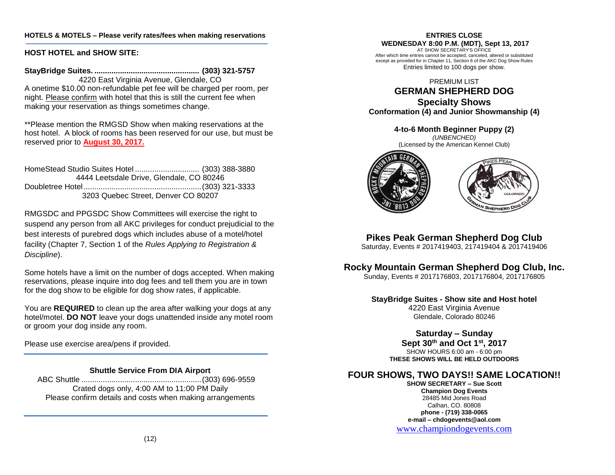## **HOTELS & MOTELS – Please verify rates/fees when making reservations**

## **HOST HOTEL and SHOW SITE:**

**StayBridge Suites. ................................................. (303) 321-5757** 4220 East Virginia Avenue, Glendale, CO A onetime \$10.00 non-refundable pet fee will be charged per room, per night. Please confirm with hotel that this is still the current fee when making your reservation as things sometimes change.

\*\*Please mention the RMGSD Show when making reservations at the host hotel. A block of rooms has been reserved for our use, but must be reserved prior to **August 30, 2017.**

HomeStead Studio Suites Hotel .............................. (303) 388-3880 4444 Leetsdale Drive, Glendale, CO 80246 Doubletree Hotel.......................................................(303) 321-3333 3203 Quebec Street, Denver CO 80207

RMGSDC and PPGSDC Show Committees will exercise the right to suspend any person from all AKC privileges for conduct prejudicial to the best interests of purebred dogs which includes abuse of a motel/hotel facility (Chapter 7, Section 1 of the *Rules Applying to Registration & Discipline*).

Some hotels have a limit on the number of dogs accepted. When making reservations, please inquire into dog fees and tell them you are in town for the dog show to be eligible for dog show rates, if applicable.

You are **REQUIRED** to clean up the area after walking your dogs at any hotel/motel. **DO NOT** leave your dogs unattended inside any motel room or groom your dog inside any room.

Please use exercise area/pens if provided.

## **Shuttle Service From DIA Airport**

 ABC Shuttle ........................................................(303) 696-9559 Crated dogs only, 4:00 AM to 11:00 PM Daily Please confirm details and costs when making arrangements

#### **ENTRIES CLOSE WEDNESDAY 8:00 P.M. (MDT), Sept 13, 2017** AT SHOW SECRETARY'S OFFICE After which time entries cannot be accepted, canceled, altered or substituted except as provided for in Chapter 11, Section 6 of the AKC Dog Show Rules Entries limited to 100 dogs per show.

PREMIUM LIST

# **GERMAN SHEPHERD DOG Specialty Shows Conformation (4) and Junior Showmanship (4)**

**4-to-6 Month Beginner Puppy (2)**

*(UNBENCHED)* (Licensed by the American Kennel Club)





**Pikes Peak German Shepherd Dog Club**

Saturday, Events # 2017419403, 217419404 & 2017419406

# **Rocky Mountain German Shepherd Dog Club, Inc.**

Sunday, Events # 2017176803, 2017176804, 2017176805

# **StayBridge Suites - Show site and Host hotel** 4220 East Virginia Avenue

Glendale, Colorado 80246

# **Saturday – Sunday**

**Sept 30th and Oct 1 st, 2017**

SHOW HOURS 6:00 am - 6:00 pm **THESE SHOWS WILL BE HELD OUTDOORS**

# **FOUR SHOWS, TWO DAYS!! SAME LOCATION!!**

**SHOW SECRETARY – Sue Scott Champion Dog Events** 28485 Mid Jones Road Calhan, CO. 80808 **phone - (719) 338-0065 e-mail – chdogevents@aol.com**

[www.championdogevents.com](http://www.championdogevents.com/)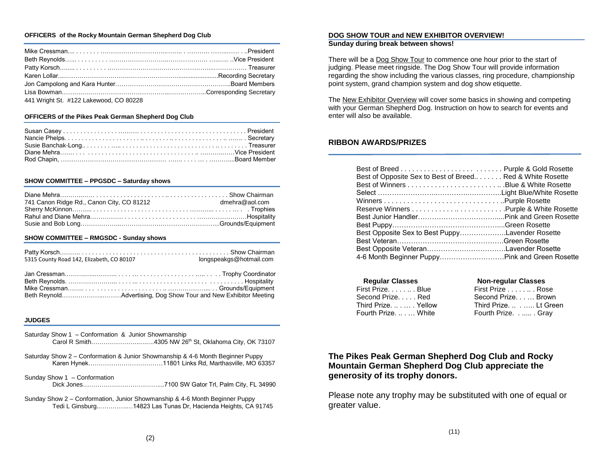#### **OFFICERS of the Rocky Mountain German Shepherd Dog Club**

| 441 Wright St. #122 Lakewood, CO 80228 |  |
|----------------------------------------|--|

#### **OFFICERS of the Pikes Peak German Shepherd Dog Club**

#### **SHOW COMMITTEE – PPGSDC – Saturday shows**

| 741 Canon Ridge Rd., Canon City, CO 81212 | dmehra@aol.com |
|-------------------------------------------|----------------|
|                                           |                |
|                                           |                |
|                                           |                |

#### **SHOW COMMITTEE – RMGSDC - Sunday shows**

| 5315 County Road 142, Elizabeth, CO 80107 | longspeakgs@hotmail.com |
|-------------------------------------------|-------------------------|
|                                           |                         |

#### **JUDGES**

- Saturday Show 1 Conformation & Junior Showmanship Carol R Smith…………………..….….4305 NW 26th St, Oklahoma City, OK 73107
- Saturday Show 2 Conformation & Junior Showmanship & 4-6 Month Beginner Puppy Karen Hynek………………………………11801 Links Rd, Marthasville, MO 63357
- Sunday Show 1 Conformation Dick Jones………………………………....7100 SW Gator Trl, Palm City, FL 34990
- Sunday Show 2 Conformation, Junior Showmanship & 4-6 Month Beginner Puppy Tedi L Ginsburg..………….…14823 Las Tunas Dr, Hacienda Heights, CA 91745

#### **DOG SHOW TOUR and NEW EXHIBITOR OVERVIEW! Sunday during break between shows!**

There will be a Dog Show Tour to commence one hour prior to the start of judging. Please meet ringside. The Dog Show Tour will provide information regarding the show including the various classes, ring procedure, championship point system, grand champion system and dog show etiquette.

The New Exhibitor Overview will cover some basics in showing and competing with your German Shepherd Dog. Instruction on how to search for events and enter will also be available.

## **RIBBON AWARDS/PRIZES**

| Best of Opposite Sex to Best of Breed Red & White Rosette |  |
|-----------------------------------------------------------|--|
|                                                           |  |
|                                                           |  |
|                                                           |  |
|                                                           |  |
|                                                           |  |
|                                                           |  |
| Best Opposite Sex to Best PuppyLavender Rosette           |  |
|                                                           |  |
|                                                           |  |
| 4-6 Month Beginner Puppy Pink and Green Rosette           |  |

| <b>Non-regular Classes</b> |
|----------------------------|
| First Prize Rose           |
| Second Prize Brown         |
| Third Prize.  Lt Green     |
| Fourth Prize Gray          |
|                            |

# **The Pikes Peak German Shepherd Dog Club and Rocky Mountain German Shepherd Dog Club appreciate the generosity of its trophy donors.**

Please note any trophy may be substituted with one of equal or greater value.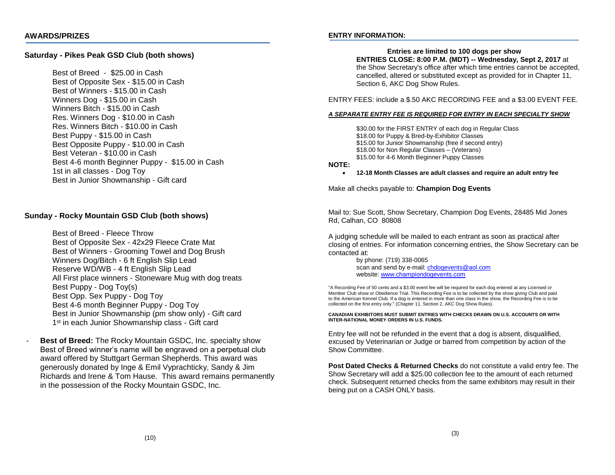## **Saturday - Pikes Peak GSD Club (both shows)**

Best of Breed - \$25.00 in Cash Best of Opposite Sex - \$15.00 in Cash Best of Winners - \$15.00 in Cash Winners Dog - \$15.00 in Cash Winners Bitch - \$15.00 in Cash Res. Winners Dog - \$10.00 in Cash Res. Winners Bitch - \$10.00 in Cash Best Puppy - \$15.00 in Cash Best Opposite Puppy - \$10.00 in Cash Best Veteran - \$10.00 in Cash Best 4-6 month Beginner Puppy - \$15.00 in Cash 1st in all classes - Dog Toy Best in Junior Showmanship - Gift card

## **Sunday - Rocky Mountain GSD Club (both shows)**

Best of Breed - Fleece Throw Best of Opposite Sex - 42x29 Fleece Crate Mat Best of Winners - Grooming Towel and Dog Brush Winners Dog/Bitch - 6 ft English Slip Lead Reserve WD/WB - 4 ft English Slip Lead All First place winners - Stoneware Mug with dog treats Best Puppy - Dog Toy(s) Best Opp. Sex Puppy - Dog Toy Best 4-6 month Beginner Puppy - Dog Toy Best in Junior Showmanship (pm show only) - Gift card 1<sup>st</sup> in each Junior Showmanship class - Gift card

**Best of Breed:** The Rocky Mountain GSDC, Inc. specialty show Best of Breed winner's name will be engraved on a perpetual club award offered by Stuttgart German Shepherds. This award was generously donated by Inge & Emil Vyprachticky, Sandy & Jim Richards and Irene & Tom Hause. This award remains permanently in the possession of the Rocky Mountain GSDC, Inc.

## **ENTRY INFORMATION:**

**Entries are limited to 100 dogs per show ENTRIES CLOSE: 8:00 P.M. (MDT) -- Wednesday, Sept 2, 2017** at the Show Secretary's office after which time entries cannot be accepted, cancelled, altered or substituted except as provided for in Chapter 11, Section 6, AKC Dog Show Rules.

ENTRY FEES: include a \$.50 AKC RECORDING FEE and a \$3.00 EVENT FEE.

#### *A SEPARATE ENTRY FEE IS REQUIRED FOR ENTRY IN EACH SPECIALTY SHOW*

\$30.00 for the FIRST ENTRY of each dog in Regular Class \$18.00 for Puppy & Bred-by-Exhibitor Classes \$15.00 for Junior Showmanship (free if second entry) \$18.00 for Non Regular Classes – (Veterans) \$15.00 for 4-6 Month Beginner Puppy Classes

#### **NOTE:**

• **12-18 Month Classes are adult classes and require an adult entry fee**

Make all checks payable to: **Champion Dog Events**

Mail to: Sue Scott, Show Secretary, Champion Dog Events, 28485 Mid Jones Rd, Calhan, CO 80808

A judging schedule will be mailed to each entrant as soon as practical after closing of entries. For information concerning entries, the Show Secretary can be contacted at:

> by phone: (719) 338-0065 scan and send by e-mail[: chdogevents@aol.com](mailto:chdogevents@aol.com) website[: www.championdogevents.com](http://www.championdogevents.com/)

"A Recording Fee of 50 cents and a \$3.00 event fee will be required for each dog entered at any Licensed or Member Club show or Obedience Trial. This Recording Fee is to be collected by the show giving Club and paid to the American Kennel Club. If a dog is entered in more than one class in the show, the Recording Fee is to be collected on the first entry only." (Chapter 11, Section 2, AKC Dog Show Rules).

**CANADIAN EXHIBITORS MUST SUBMIT ENTRIES WITH CHECKS DRAWN ON U.S. ACCOUNTS OR WITH INTER-NATIONAL MONEY ORDERS IN U.S. FUNDS.**

Entry fee will not be refunded in the event that a dog is absent, disqualified, excused by Veterinarian or Judge or barred from competition by action of the Show Committee.

**Post Dated Checks & Returned Checks** do not constitute a valid entry fee. The Show Secretary will add a \$25.00 collection fee to the amount of each returned check. Subsequent returned checks from the same exhibitors may result in their being put on a CASH ONLY basis.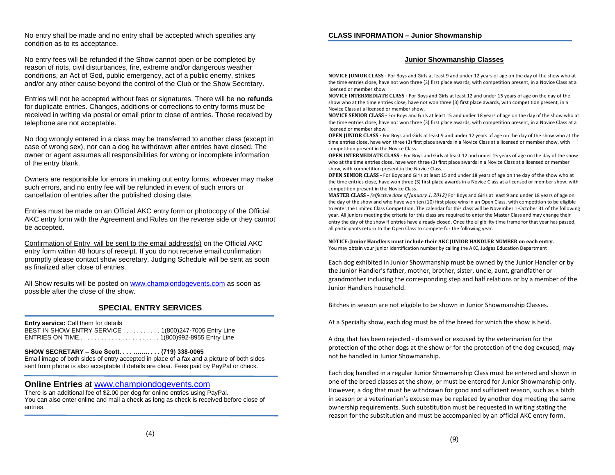No entry shall be made and no entry shall be accepted which specifies any condition as to its acceptance.

No entry fees will be refunded if the Show cannot open or be completed by reason of riots, civil disturbances, fire, extreme and/or dangerous weather conditions, an Act of God, public emergency, act of a public enemy, strikes and/or any other cause beyond the control of the Club or the Show Secretary.

Entries will not be accepted without fees or signatures. There will be **no refunds**  for duplicate entries. Changes, additions or corrections to entry forms must be received in writing via postal or email prior to close of entries. Those received by telephone are not acceptable.

No dog wrongly entered in a class may be transferred to another class (except in case of wrong sex), nor can a dog be withdrawn after entries have closed. The owner or agent assumes all responsibilities for wrong or incomplete information of the entry blank.

Owners are responsible for errors in making out entry forms, whoever may make such errors, and no entry fee will be refunded in event of such errors or cancellation of entries after the published closing date.

Entries must be made on an Official AKC entry form or photocopy of the Official AKC entry form with the Agreement and Rules on the reverse side or they cannot be accepted.

Confirmation of Entry will be sent to the email address(s) on the Official AKC entry form within 48 hours of receipt. If you do not receive email confirmation promptly please contact show secretary. Judging Schedule will be sent as soon as finalized after close of entries.

All Show results will be posted o[n www.championdogevents.com](http://www.championdogevents.com/) as soon as possible after the close of the show.

# **SPECIAL ENTRY SERVICES**

**Entry service:** Call them for details BEST IN SHOW ENTRY SERVICE . . . . . . . . . . . 1(800)247-7005 Entry Line ENTRIES ON TIME.. . . . . . . . . . . . . . . . . . . . . . . 1(800)992-8955 Entry Line

### **SHOW SECRETARY – Sue Scott. . . . …….. . . . (719) 338-0065**

Email image of both sides of entry accepted in place of a fax and a picture of both sides sent from phone is also acceptable if details are clear. Fees paid by PayPal or check.

## **Online Entries** at [www.championdogevents.com](http://www.championdogevents.com/)

There is an additional fee of \$2.00 per dog for online entries using PayPal. You can also enter online and mail a check as long as check is received before close of entries.

### **Junior Showmanship Classes**

**NOVICE JUNIOR CLASS -** For Boys and Girls at least 9 and under 12 years of age on the day of the show who at the time entries close, have not won three (3) first place awards, with competition present, in a Novice Class at a licensed or member show.

**NOVICE INTERMEDIATE CLASS -** For Boys and Girls at least 12 and under 15 years of age on the day of the show who at the time entries close, have not won three (3) first place awards, with competition present, in a Novice Class at a licensed or member show.

**NOVICE SENIOR CLASS -** For Boys and Girls at least 15 and under 18 years of age on the day of the show who at the time entries close, have not won three (3) first place awards, with competition present, in a Novice Class at a licensed or member show.

**OPEN JUNIOR CLASS -** For Boys and Girls at least 9 and under 12 years of age on the day of the show who at the time entries close, have won three (3) first place awards in a Novice Class at a licensed or member show, with competition present in the Novice Class.

**OPEN INTERMEDIATE CLASS -** For Boys and Girls at least 12 and under 15 years of age on the day of the show who at the time entries close, have won three (3) first place awards in a Novice Class at a licensed or member show, with competition present in the Novice Class.

**OPEN SENIOR CLASS -** For Boys and Girls at least 15 and under 18 years of age on the day of the show who at the time entries close, have won three (3) first place awards in a Novice Class at a licensed or member show, with competition present in the Novice Class.

**MASTER CLASS -** *(effective date of January 1, 2012)* For Boys and Girls at least 9 and under 18 years of age on the day of the show and who have won ten (10) first place wins in an Open Class, with competition to be eligible to enter the Limited Class Competition. The calendar for this class will be November 1-October 31 of the following year. All juniors meeting the criteria for this class are required to enter the Master Class and may change their entry the day of the show if entries have already closed. Once the eligibility time frame for that year has passed, all participants return to the Open Class to compete for the following year.

**NOTICE: Junior Handlers must include their AKC JUNIOR HANDLER NUMBER on each entry.** You may obtain your junior identification number by calling the AKC, Judges Education Department

Each dog exhibited in Junior Showmanship must be owned by the Junior Handler or by the Junior Handler's father, mother, brother, sister, uncle, aunt, grandfather or grandmother including the corresponding step and half relations or by a member of the Junior Handlers household.

Bitches in season are not eligible to be shown in Junior Showmanship Classes.

At a Specialty show, each dog must be of the breed for which the show is held.

A dog that has been rejected - dismissed or excused by the veterinarian for the protection of the other dogs at the show or for the protection of the dog excused, may not be handled in Junior Showmanship.

Each dog handled in a regular Junior Showmanship Class must be entered and shown in one of the breed classes at the show, or must be entered for Junior Showmanship only. However, a dog that must be withdrawn for good and sufficient reason, such as a bitch in season or a veterinarian's excuse may be replaced by another dog meeting the same ownership requirements. Such substitution must be requested in writing stating the reason for the substitution and must be accompanied by an official AKC entry form.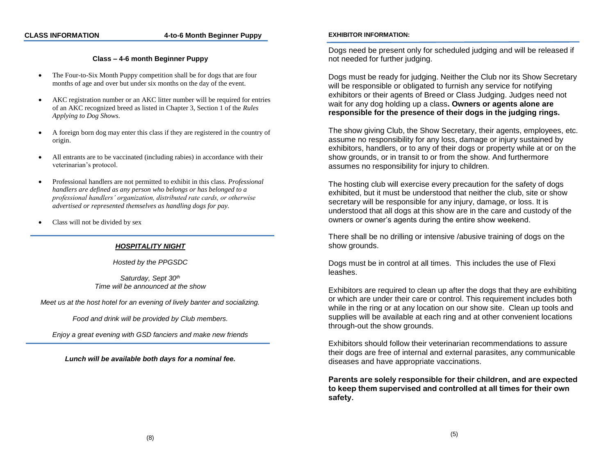#### **CLASS INFORMATION 4-to-6 Month Beginner Puppy**

## **Class – 4-6 month Beginner Puppy**

- The Four-to-Six Month Puppy competition shall be for dogs that are four months of age and over but under six months on the day of the event.
- AKC registration number or an AKC litter number will be required for entries of an AKC recognized breed as listed in Chapter 3, Section 1 of the *Rules Applying to Dog Shows*.
- A foreign born dog may enter this class if they are registered in the country of origin.
- All entrants are to be vaccinated (including rabies) in accordance with their veterinarian's protocol.
- Professional handlers are not permitted to exhibit in this class. *Professional handlers are defined as any person who belongs or has belonged to a professional handlers' organization, distributed rate cards, or otherwise advertised or represented themselves as handling dogs for pay.*
- Class will not be divided by sex

### *HOSPITALITY NIGHT*

*Hosted by the PPGSDC*

Saturday, Sept 30<sup>th</sup> *Time will be announced at the show*

*Meet us at the host hotel for an evening of lively banter and socializing.*

*Food and drink will be provided by Club members.*

*Enjoy a great evening with GSD fanciers and make new friends*

*Lunch will be available both days for a nominal fee.*

#### **EXHIBITOR INFORMATION:**

Dogs need be present only for scheduled judging and will be released if not needed for further judging.

Dogs must be ready for judging. Neither the Club nor its Show Secretary will be responsible or obligated to furnish any service for notifying exhibitors or their agents of Breed or Class Judging. Judges need not wait for any dog holding up a class**. Owners or agents alone are responsible for the presence of their dogs in the judging rings.**

The show giving Club, the Show Secretary, their agents, employees, etc. assume no responsibility for any loss, damage or injury sustained by exhibitors, handlers, or to any of their dogs or property while at or on the show grounds, or in transit to or from the show. And furthermore assumes no responsibility for injury to children.

The hosting club will exercise every precaution for the safety of dogs exhibited, but it must be understood that neither the club, site or show secretary will be responsible for any injury, damage, or loss. It is understood that all dogs at this show are in the care and custody of the owners or owner's agents during the entire show weekend.

There shall be no drilling or intensive /abusive training of dogs on the show grounds.

Dogs must be in control at all times. This includes the use of Flexi leashes.

Exhibitors are required to clean up after the dogs that they are exhibiting or which are under their care or control. This requirement includes both while in the ring or at any location on our show site. Clean up tools and supplies will be available at each ring and at other convenient locations through-out the show grounds.

Exhibitors should follow their veterinarian recommendations to assure their dogs are free of internal and external parasites, any communicable diseases and have appropriate vaccinations.

**Parents are solely responsible for their children, and are expected to keep them supervised and controlled at all times for their own safety.**